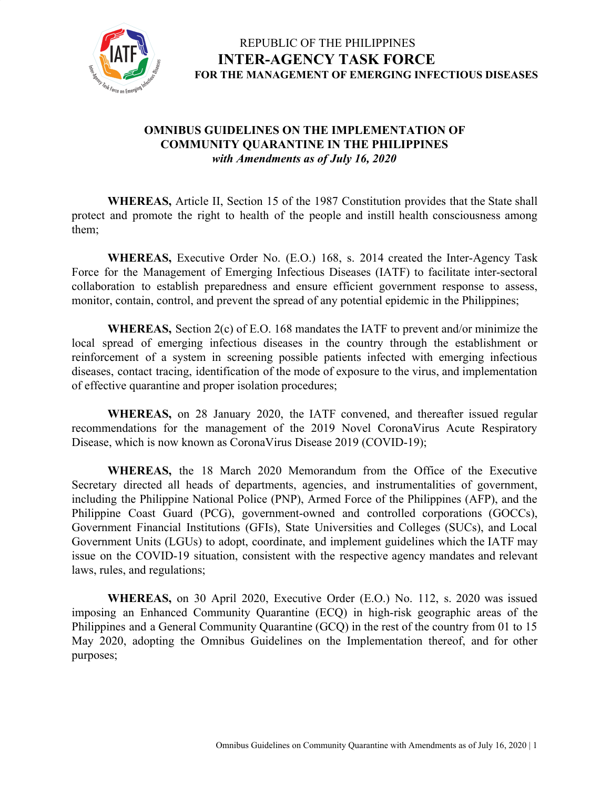

#### **OMNIBUS GUIDELINES ON THE IMPLEMENTATION OF COMMUNITY QUARANTINE IN THE PHILIPPINES** *with Amendments as of July 16, 2020*

**WHEREAS,** Article II, Section 15 of the 1987 Constitution provides that the State shall protect and promote the right to health of the people and instill health consciousness among them;

**WHEREAS,** Executive Order No. (E.O.) 168, s. 2014 created the Inter-Agency Task Force for the Management of Emerging Infectious Diseases (IATF) to facilitate inter-sectoral collaboration to establish preparedness and ensure efficient government response to assess, monitor, contain, control, and prevent the spread of any potential epidemic in the Philippines;

**WHEREAS,** Section 2(c) of E.O. 168 mandates the IATF to prevent and/or minimize the local spread of emerging infectious diseases in the country through the establishment or reinforcement of a system in screening possible patients infected with emerging infectious diseases, contact tracing, identification of the mode of exposure to the virus, and implementation of effective quarantine and proper isolation procedures;

**WHEREAS,** on 28 January 2020, the IATF convened, and thereafter issued regular recommendations for the management of the 2019 Novel CoronaVirus Acute Respiratory Disease, which is now known as CoronaVirus Disease 2019 (COVID-19);

**WHEREAS,** the 18 March 2020 Memorandum from the Office of the Executive Secretary directed all heads of departments, agencies, and instrumentalities of government, including the Philippine National Police (PNP), Armed Force of the Philippines (AFP), and the Philippine Coast Guard (PCG), government-owned and controlled corporations (GOCCs), Government Financial Institutions (GFIs), State Universities and Colleges (SUCs), and Local Government Units (LGUs) to adopt, coordinate, and implement guidelines which the IATF may issue on the COVID-19 situation, consistent with the respective agency mandates and relevant laws, rules, and regulations;

**WHEREAS,** on 30 April 2020, Executive Order (E.O.) No. 112, s. 2020 was issued imposing an Enhanced Community Quarantine (ECQ) in high-risk geographic areas of the Philippines and a General Community Quarantine (GCQ) in the rest of the country from 01 to 15 May 2020, adopting the Omnibus Guidelines on the Implementation thereof, and for other purposes;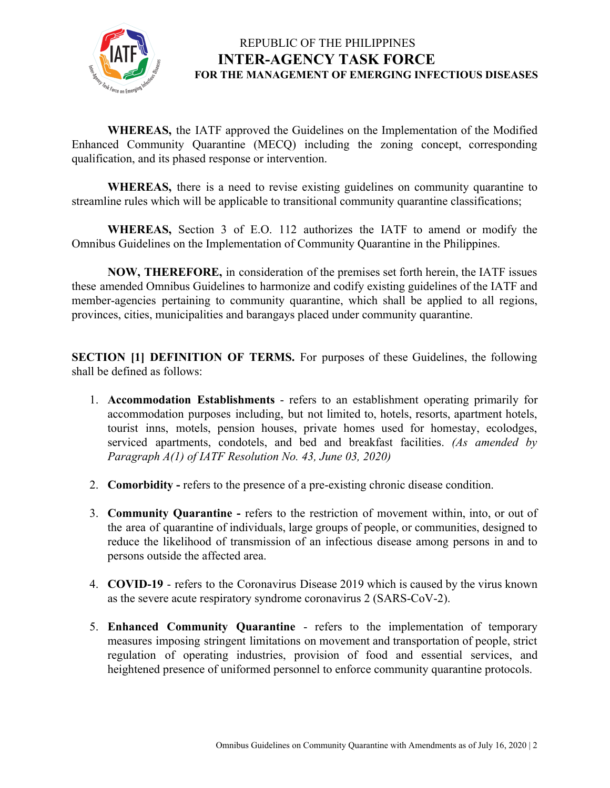

**WHEREAS,** the IATF approved the Guidelines on the Implementation of the Modified Enhanced Community Quarantine (MECQ) including the zoning concept, corresponding qualification, and its phased response or intervention.

**WHEREAS,** there is a need to revise existing guidelines on community quarantine to streamline rules which will be applicable to transitional community quarantine classifications;

**WHEREAS,** Section 3 of E.O. 112 authorizes the IATF to amend or modify the Omnibus Guidelines on the Implementation of Community Quarantine in the Philippines.

**NOW, THEREFORE,** in consideration of the premises set forth herein, the IATF issues these amended Omnibus Guidelines to harmonize and codify existing guidelines of the IATF and member-agencies pertaining to community quarantine, which shall be applied to all regions, provinces, cities, municipalities and barangays placed under community quarantine.

**SECTION [1] DEFINITION OF TERMS.** For purposes of these Guidelines, the following shall be defined as follows:

- 1. **Accommodation Establishments** refers to an establishment operating primarily for accommodation purposes including, but not limited to, hotels, resorts, apartment hotels, tourist inns, motels, pension houses, private homes used for homestay, ecolodges, serviced apartments, condotels, and bed and breakfast facilities. *(As amended by Paragraph A(1) of IATF Resolution No. 43, June 03, 2020)*
- 2. **Comorbidity** refers to the presence of a pre-existing chronic disease condition.
- 3. **Community Quarantine -** refers to the restriction of movement within, into, or out of the area of quarantine of individuals, large groups of people, or communities, designed to reduce the likelihood of transmission of an infectious disease among persons in and to persons outside the affected area.
- 4. **COVID-19** refers to the Coronavirus Disease 2019 which is caused by the virus known as the severe acute respiratory syndrome coronavirus 2 (SARS-CoV-2).
- 5. **Enhanced Community Quarantine** refers to the implementation of temporary measures imposing stringent limitations on movement and transportation of people, strict regulation of operating industries, provision of food and essential services, and heightened presence of uniformed personnel to enforce community quarantine protocols.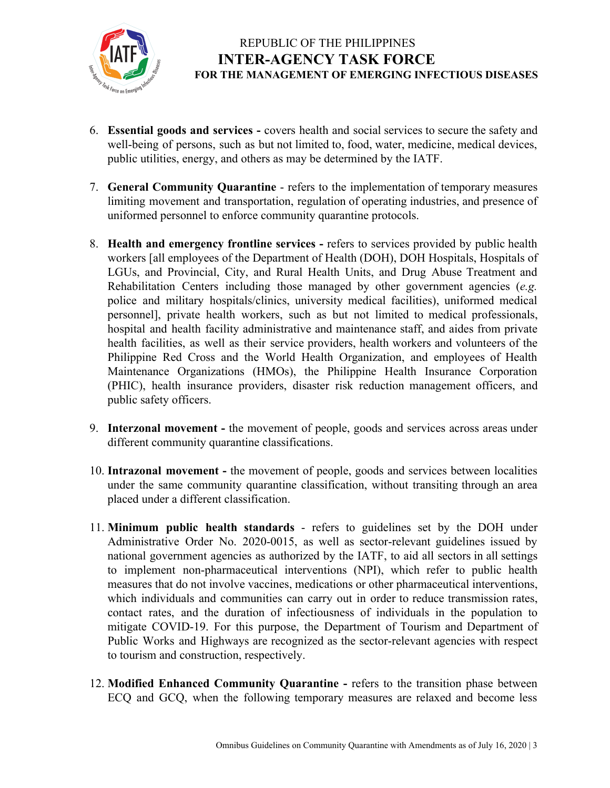

- 6. **Essential goods and services -** covers health and social services to secure the safety and well-being of persons, such as but not limited to, food, water, medicine, medical devices, public utilities, energy, and others as may be determined by the IATF.
- 7. **General Community Quarantine** refers to the implementation of temporary measures limiting movement and transportation, regulation of operating industries, and presence of uniformed personnel to enforce community quarantine protocols.
- 8. **Health and emergency frontline services -** refers to services provided by public health workers [all employees of the Department of Health (DOH), DOH Hospitals, Hospitals of LGUs, and Provincial, City, and Rural Health Units, and Drug Abuse Treatment and Rehabilitation Centers including those managed by other government agencies (*e.g.* police and military hospitals/clinics, university medical facilities), uniformed medical personnel], private health workers, such as but not limited to medical professionals, hospital and health facility administrative and maintenance staff, and aides from private health facilities, as well as their service providers, health workers and volunteers of the Philippine Red Cross and the World Health Organization, and employees of Health Maintenance Organizations (HMOs), the Philippine Health Insurance Corporation (PHIC), health insurance providers, disaster risk reduction management officers, and public safety officers.
- 9. **Interzonal movement -** the movement of people, goods and services across areas under different community quarantine classifications.
- 10. **Intrazonal movement -** the movement of people, goods and services between localities under the same community quarantine classification, without transiting through an area placed under a different classification.
- 11. **Minimum public health standards** refers to guidelines set by the DOH under Administrative Order No. 2020-0015, as well as sector-relevant guidelines issued by national government agencies as authorized by the IATF, to aid all sectors in all settings to implement non-pharmaceutical interventions (NPI), which refer to public health measures that do not involve vaccines, medications or other pharmaceutical interventions, which individuals and communities can carry out in order to reduce transmission rates, contact rates, and the duration of infectiousness of individuals in the population to mitigate COVID-19. For this purpose, the Department of Tourism and Department of Public Works and Highways are recognized as the sector-relevant agencies with respect to tourism and construction, respectively.
- 12. **Modified Enhanced Community Quarantine -** refers to the transition phase between ECQ and GCQ, when the following temporary measures are relaxed and become less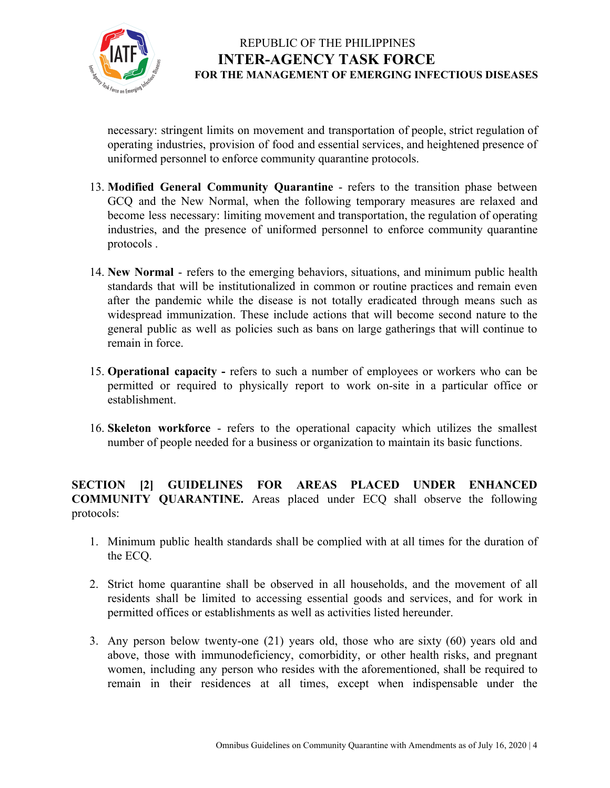

necessary: stringent limits on movement and transportation of people, strict regulation of operating industries, provision of food and essential services, and heightened presence of uniformed personnel to enforce community quarantine protocols.

- 13. **Modified General Community Quarantine** refers to the transition phase between GCQ and the New Normal, when the following temporary measures are relaxed and become less necessary: limiting movement and transportation, the regulation of operating industries, and the presence of uniformed personnel to enforce community quarantine protocols .
- 14. **New Normal** refers to the emerging behaviors, situations, and minimum public health standards that will be institutionalized in common or routine practices and remain even after the pandemic while the disease is not totally eradicated through means such as widespread immunization. These include actions that will become second nature to the general public as well as policies such as bans on large gatherings that will continue to remain in force.
- 15. **Operational capacity -** refers to such a number of employees or workers who can be permitted or required to physically report to work on-site in a particular office or establishment.
- 16. **Skeleton workforce** refers to the operational capacity which utilizes the [smallest](https://dictionary.cambridge.org/us/dictionary/english/small) [number](https://dictionary.cambridge.org/us/dictionary/english/number) of [people](https://dictionary.cambridge.org/us/dictionary/english/people) [needed](https://dictionary.cambridge.org/us/dictionary/english/needed) for a [business](https://dictionary.cambridge.org/us/dictionary/english/business) or [organization](https://dictionary.cambridge.org/us/dictionary/english/organization) to maintain its basic functions.

**SECTION [2] GUIDELINES FOR AREAS PLACED UNDER ENHANCED COMMUNITY QUARANTINE.** Areas placed under ECQ shall observe the following protocols:

- 1. Minimum public health standards shall be complied with at all times for the duration of the ECQ.
- 2. Strict home quarantine shall be observed in all households, and the movement of all residents shall be limited to accessing essential goods and services, and for work in permitted offices or establishments as well as activities listed hereunder.
- 3. Any person below twenty-one (21) years old, those who are sixty (60) years old and above, those with immunodeficiency, comorbidity, or other health risks, and pregnant women, including any person who resides with the aforementioned, shall be required to remain in their residences at all times, except when indispensable under the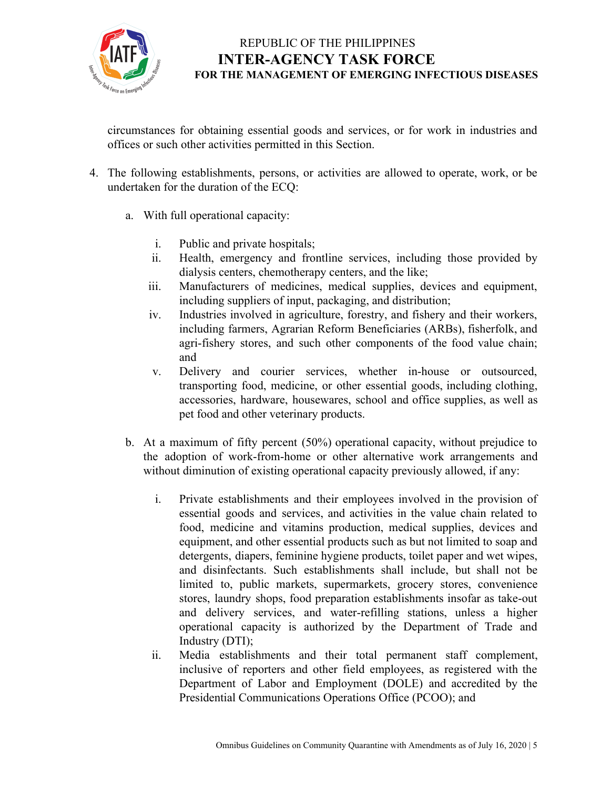

circumstances for obtaining essential goods and services, or for work in industries and offices or such other activities permitted in this Section.

- 4. The following establishments, persons, or activities are allowed to operate, work, or be undertaken for the duration of the ECQ:
	- a. With full operational capacity:
		- i. Public and private hospitals;
		- ii. Health, emergency and frontline services, including those provided by dialysis centers, chemotherapy centers, and the like;
		- iii. Manufacturers of medicines, medical supplies, devices and equipment, including suppliers of input, packaging, and distribution;
		- iv. Industries involved in agriculture, forestry, and fishery and their workers, including farmers, Agrarian Reform Beneficiaries (ARBs), fisherfolk, and agri-fishery stores, and such other components of the food value chain; and
		- v. Delivery and courier services, whether in-house or outsourced, transporting food, medicine, or other essential goods, including clothing, accessories, hardware, housewares, school and office supplies, as well as pet food and other veterinary products.
	- b. At a maximum of fifty percent (50%) operational capacity, without prejudice to the adoption of work-from-home or other alternative work arrangements and without diminution of existing operational capacity previously allowed, if any:
		- i. Private establishments and their employees involved in the provision of essential goods and services, and activities in the value chain related to food, medicine and vitamins production, medical supplies, devices and equipment, and other essential products such as but not limited to soap and detergents, diapers, feminine hygiene products, toilet paper and wet wipes, and disinfectants. Such establishments shall include, but shall not be limited to, public markets, supermarkets, grocery stores, convenience stores, laundry shops, food preparation establishments insofar as take-out and delivery services, and water-refilling stations, unless a higher operational capacity is authorized by the Department of Trade and Industry (DTI);
		- ii. Media establishments and their total permanent staff complement, inclusive of reporters and other field employees, as registered with the Department of Labor and Employment (DOLE) and accredited by the Presidential Communications Operations Office (PCOO); and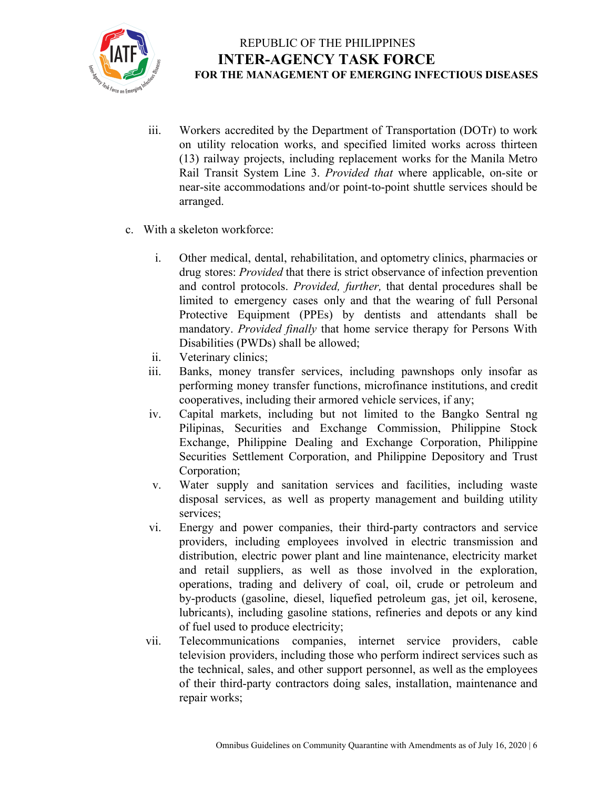

- iii. Workers accredited by the Department of Transportation (DOTr) to work on utility relocation works, and specified limited works across thirteen (13) railway projects, including replacement works for the Manila Metro Rail Transit System Line 3. *Provided that* where applicable, on-site or near-site accommodations and/or point-to-point shuttle services should be arranged.
- c. With a skeleton workforce:
	- i. Other medical, dental, rehabilitation, and optometry clinics, pharmacies or drug stores: *Provided* that there is strict observance of infection prevention and control protocols. *Provided, further,* that dental procedures shall be limited to emergency cases only and that the wearing of full Personal Protective Equipment (PPEs) by dentists and attendants shall be mandatory. *Provided finally* that home service therapy for Persons With Disabilities (PWDs) shall be allowed;
	- ii. Veterinary clinics;
	- iii. Banks, money transfer services, including pawnshops only insofar as performing money transfer functions, microfinance institutions, and credit cooperatives, including their armored vehicle services, if any;
	- iv. Capital markets, including but not limited to the Bangko Sentral ng Pilipinas, Securities and Exchange Commission, Philippine Stock Exchange, Philippine Dealing and Exchange Corporation, Philippine Securities Settlement Corporation, and Philippine Depository and Trust Corporation;
	- v. Water supply and sanitation services and facilities, including waste disposal services, as well as property management and building utility services:
	- vi. Energy and power companies, their third-party contractors and service providers, including employees involved in electric transmission and distribution, electric power plant and line maintenance, electricity market and retail suppliers, as well as those involved in the exploration, operations, trading and delivery of coal, oil, crude or petroleum and by-products (gasoline, diesel, liquefied petroleum gas, jet oil, kerosene, lubricants), including gasoline stations, refineries and depots or any kind of fuel used to produce electricity;
	- vii. Telecommunications companies, internet service providers, cable television providers, including those who perform indirect services such as the technical, sales, and other support personnel, as well as the employees of their third-party contractors doing sales, installation, maintenance and repair works;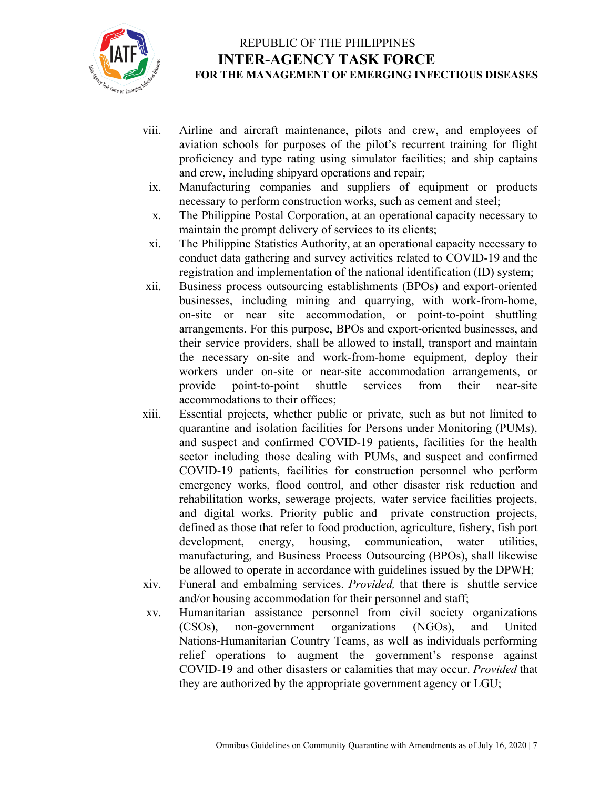

- viii. Airline and aircraft maintenance, pilots and crew, and employees of aviation schools for purposes of the pilot's recurrent training for flight proficiency and type rating using simulator facilities; and ship captains and crew, including shipyard operations and repair;
- ix. Manufacturing companies and suppliers of equipment or products necessary to perform construction works, such as cement and steel;
- x. The Philippine Postal Corporation, at an operational capacity necessary to maintain the prompt delivery of services to its clients;
- xi. The Philippine Statistics Authority, at an operational capacity necessary to conduct data gathering and survey activities related to COVID-19 and the registration and implementation of the national identification (ID) system;
- xii. Business process outsourcing establishments (BPOs) and export-oriented businesses, including mining and quarrying, with work-from-home, on-site or near site accommodation, or point-to-point shuttling arrangements. For this purpose, BPOs and export-oriented businesses, and their service providers, shall be allowed to install, transport and maintain the necessary on-site and work-from-home equipment, deploy their workers under on-site or near-site accommodation arrangements, or provide point-to-point shuttle services from their near-site accommodations to their offices;
- xiii. Essential projects, whether public or private, such as but not limited to quarantine and isolation facilities for Persons under Monitoring (PUMs), and suspect and confirmed COVID-19 patients, facilities for the health sector including those dealing with PUMs, and suspect and confirmed COVID-19 patients, facilities for construction personnel who perform emergency works, flood control, and other disaster risk reduction and rehabilitation works, sewerage projects, water service facilities projects, and digital works. Priority public and private construction projects, defined as those that refer to food production, agriculture, fishery, fish port development, energy, housing, communication, water utilities, manufacturing, and Business Process Outsourcing (BPOs), shall likewise be allowed to operate in accordance with guidelines issued by the DPWH;
- xiv. Funeral and embalming services. *Provided,* that there is shuttle service and/or housing accommodation for their personnel and staff;
- xv. Humanitarian assistance personnel from civil society organizations (CSOs), non-government organizations (NGOs), and United Nations-Humanitarian Country Teams, as well as individuals performing relief operations to augment the government's response against COVID-19 and other disasters or calamities that may occur. *Provided* that they are authorized by the appropriate government agency or LGU;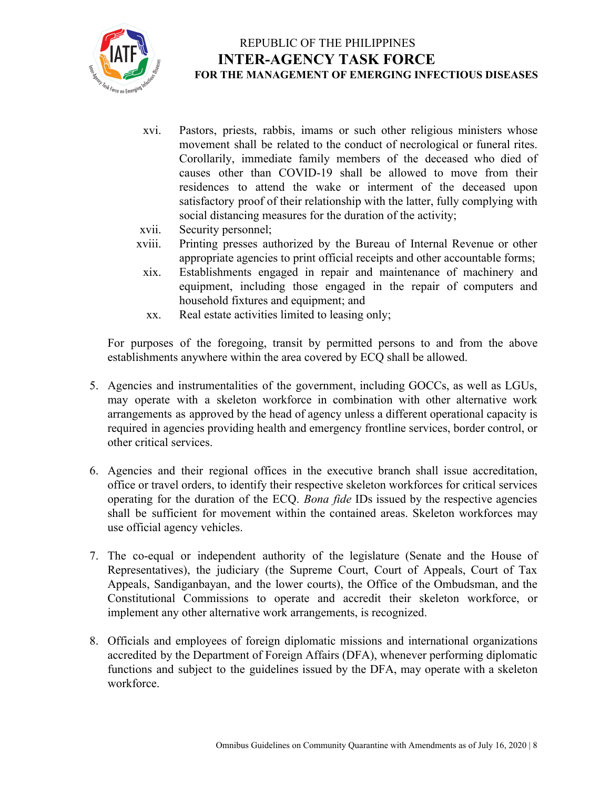

- xvi. Pastors, priests, rabbis, imams or such other religious ministers whose movement shall be related to the conduct of necrological or funeral rites. Corollarily, immediate family members of the deceased who died of causes other than COVID-19 shall be allowed to move from their residences to attend the wake or interment of the deceased upon satisfactory proof of their relationship with the latter, fully complying with social distancing measures for the duration of the activity;
- xvii. Security personnel;
- xviii. Printing presses authorized by the Bureau of Internal Revenue or other appropriate agencies to print official receipts and other accountable forms;
- xix. Establishments engaged in repair and maintenance of machinery and equipment, including those engaged in the repair of computers and household fixtures and equipment; and
- xx. Real estate activities limited to leasing only;

For purposes of the foregoing, transit by permitted persons to and from the above establishments anywhere within the area covered by ECQ shall be allowed.

- 5. Agencies and instrumentalities of the government, including GOCCs, as well as LGUs, may operate with a skeleton workforce in combination with other alternative work arrangements as approved by the head of agency unless a different operational capacity is required in agencies providing health and emergency frontline services, border control, or other critical services.
- 6. Agencies and their regional offices in the executive branch shall issue accreditation, office or travel orders, to identify their respective skeleton workforces for critical services operating for the duration of the ECQ. *Bona fide* IDs issued by the respective agencies shall be sufficient for movement within the contained areas. Skeleton workforces may use official agency vehicles.
- 7. The co-equal or independent authority of the legislature (Senate and the House of Representatives), the judiciary (the Supreme Court, Court of Appeals, Court of Tax Appeals, Sandiganbayan, and the lower courts), the Office of the Ombudsman, and the Constitutional Commissions to operate and accredit their skeleton workforce, or implement any other alternative work arrangements, is recognized.
- 8. Officials and employees of foreign diplomatic missions and international organizations accredited by the Department of Foreign Affairs (DFA), whenever performing diplomatic functions and subject to the guidelines issued by the DFA, may operate with a skeleton workforce.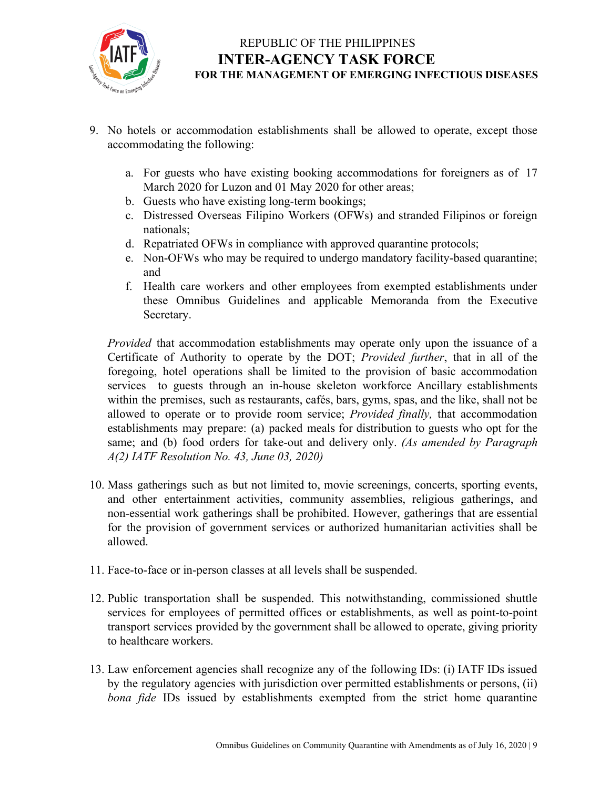

- 9. No hotels or accommodation establishments shall be allowed to operate, except those accommodating the following:
	- a. For guests who have existing booking accommodations for foreigners as of 17 March 2020 for Luzon and 01 May 2020 for other areas;
	- b. Guests who have existing long-term bookings;
	- c. Distressed Overseas Filipino Workers (OFWs) and stranded Filipinos or foreign nationals;
	- d. Repatriated OFWs in compliance with approved quarantine protocols;
	- e. Non-OFWs who may be required to undergo mandatory facility-based quarantine; and
	- f. Health care workers and other employees from exempted establishments under these Omnibus Guidelines and applicable Memoranda from the Executive Secretary.

*Provided* that accommodation establishments may operate only upon the issuance of a Certificate of Authority to operate by the DOT; *Provided further*, that in all of the foregoing, hotel operations shall be limited to the provision of basic accommodation services to guests through an in-house skeleton workforce Ancillary establishments within the premises, such as restaurants, cafés, bars, gyms, spas, and the like, shall not be allowed to operate or to provide room service; *Provided finally,* that accommodation establishments may prepare: (a) packed meals for distribution to guests who opt for the same; and (b) food orders for take-out and delivery only. *(As amended by Paragraph A(2) IATF Resolution No. 43, June 03, 2020)*

- 10. Mass gatherings such as but not limited to, movie screenings, concerts, sporting events, and other entertainment activities, community assemblies, religious gatherings, and non-essential work gatherings shall be prohibited. However, gatherings that are essential for the provision of government services or authorized humanitarian activities shall be allowed.
- 11. Face-to-face or in-person classes at all levels shall be suspended.
- 12. Public transportation shall be suspended. This notwithstanding, commissioned shuttle services for employees of permitted offices or establishments, as well as point-to-point transport services provided by the government shall be allowed to operate, giving priority to healthcare workers.
- 13. Law enforcement agencies shall recognize any of the following IDs: (i) IATF IDs issued by the regulatory agencies with jurisdiction over permitted establishments or persons, (ii) *bona fide* IDs issued by establishments exempted from the strict home quarantine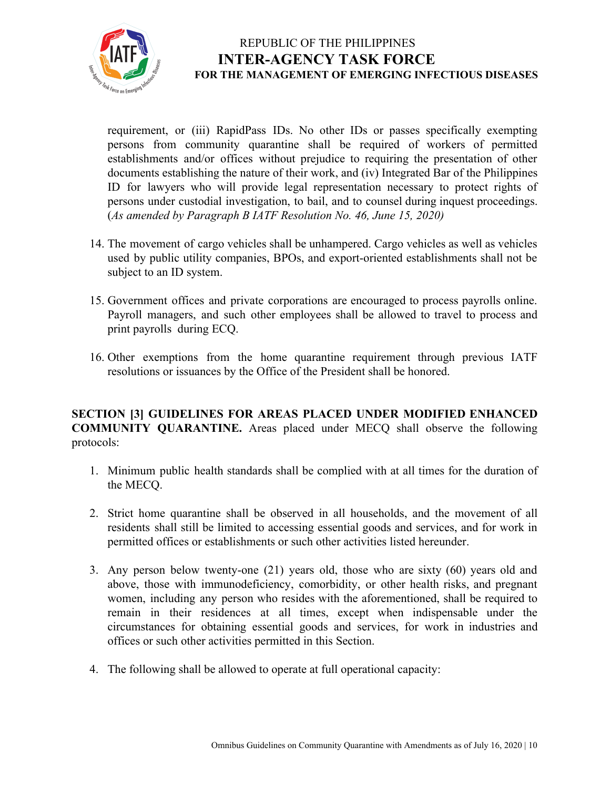

requirement, or (iii) RapidPass IDs. No other IDs or passes specifically exempting persons from community quarantine shall be required of workers of permitted establishments and/or offices without prejudice to requiring the presentation of other documents establishing the nature of their work, and (iv) Integrated Bar of the Philippines ID for lawyers who will provide legal representation necessary to protect rights of persons under custodial investigation, to bail, and to counsel during inquest proceedings. (*As amended by Paragraph B IATF Resolution No. 46, June 15, 2020)*

- 14. The movement of cargo vehicles shall be unhampered. Cargo vehicles as well as vehicles used by public utility companies, BPOs, and export-oriented establishments shall not be subject to an ID system.
- 15. Government offices and private corporations are encouraged to process payrolls online. Payroll managers, and such other employees shall be allowed to travel to process and print payrolls during ECQ.
- 16. Other exemptions from the home quarantine requirement through previous IATF resolutions or issuances by the Office of the President shall be honored.

**SECTION [3] GUIDELINES FOR AREAS PLACED UNDER MODIFIED ENHANCED COMMUNITY QUARANTINE.** Areas placed under MECQ shall observe the following protocols:

- 1. Minimum public health standards shall be complied with at all times for the duration of the MECQ.
- 2. Strict home quarantine shall be observed in all households, and the movement of all residents shall still be limited to accessing essential goods and services, and for work in permitted offices or establishments or such other activities listed hereunder.
- 3. Any person below twenty-one (21) years old, those who are sixty (60) years old and above, those with immunodeficiency, comorbidity, or other health risks, and pregnant women, including any person who resides with the aforementioned, shall be required to remain in their residences at all times, except when indispensable under the circumstances for obtaining essential goods and services, for work in industries and offices or such other activities permitted in this Section.
- 4. The following shall be allowed to operate at full operational capacity: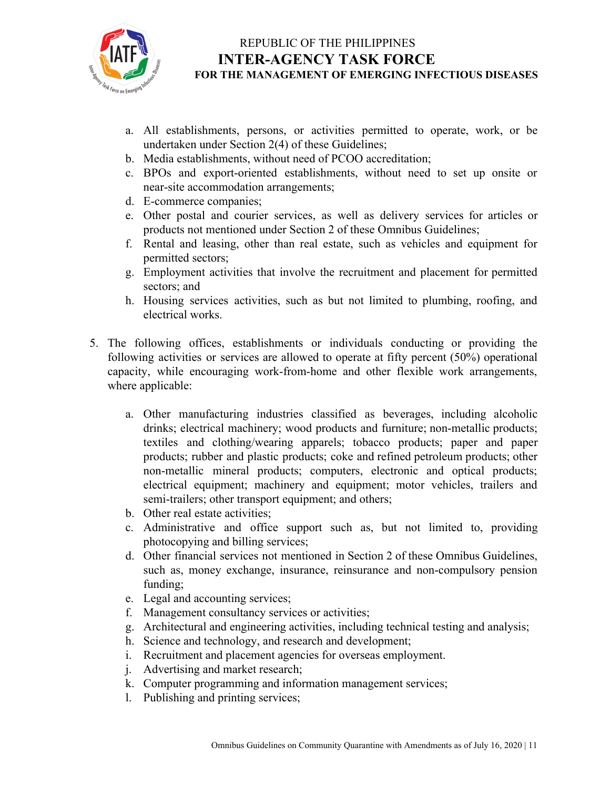

- a. All establishments, persons, or activities permitted to operate, work, or be undertaken under Section 2(4) of these Guidelines;
- b. Media establishments, without need of PCOO accreditation;
- c. BPOs and export-oriented establishments, without need to set up onsite or near-site accommodation arrangements;
- d. E-commerce companies;
- e. Other postal and courier services, as well as delivery services for articles or products not mentioned under Section 2 of these Omnibus Guidelines;
- f. Rental and leasing, other than real estate, such as vehicles and equipment for permitted sectors;
- g. Employment activities that involve the recruitment and placement for permitted sectors; and
- h. Housing services activities, such as but not limited to plumbing, roofing, and electrical works.
- 5. The following offices, establishments or individuals conducting or providing the following activities or services are allowed to operate at fifty percent (50%) operational capacity, while encouraging work-from-home and other flexible work arrangements, where applicable:
	- a. Other manufacturing industries classified as beverages, including alcoholic drinks; electrical machinery; wood products and furniture; non-metallic products; textiles and clothing/wearing apparels; tobacco products; paper and paper products; rubber and plastic products; coke and refined petroleum products; other non-metallic mineral products; computers, electronic and optical products; electrical equipment; machinery and equipment; motor vehicles, trailers and semi-trailers; other transport equipment; and others;
	- b. Other real estate activities;
	- c. Administrative and office support such as, but not limited to, providing photocopying and billing services;
	- d. Other financial services not mentioned in Section 2 of these Omnibus Guidelines, such as, money exchange, insurance, reinsurance and non-compulsory pension funding;
	- e. Legal and accounting services;
	- f. Management consultancy services or activities;
	- g. Architectural and engineering activities, including technical testing and analysis;
	- h. Science and technology, and research and development;
	- i. Recruitment and placement agencies for overseas employment.
	- j. Advertising and market research;
	- k. Computer programming and information management services;
	- l. Publishing and printing services;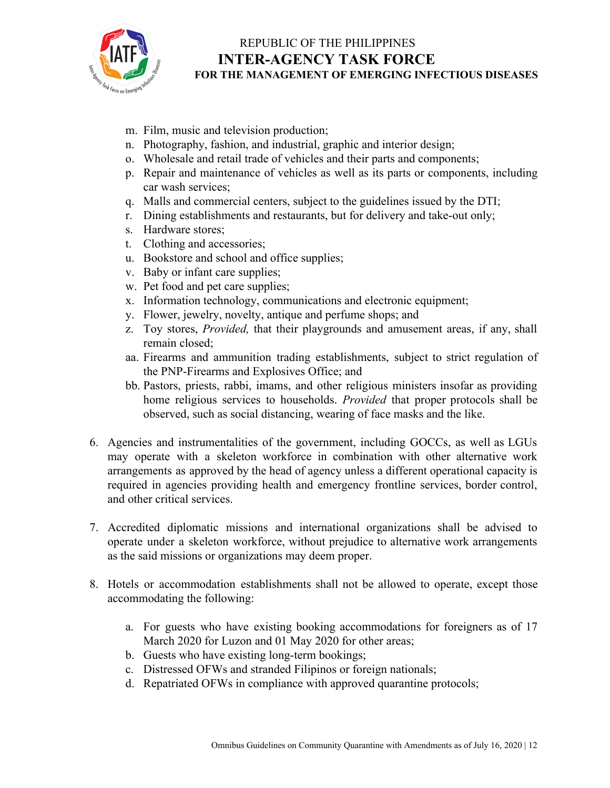

- m. Film, music and television production;
- n. Photography, fashion, and industrial, graphic and interior design;
- o. Wholesale and retail trade of vehicles and their parts and components;
- p. Repair and maintenance of vehicles as well as its parts or components, including car wash services;
- q. Malls and commercial centers, subject to the guidelines issued by the DTI;
- r. Dining establishments and restaurants, but for delivery and take-out only;
- s. Hardware stores;
- t. Clothing and accessories;
- u. Bookstore and school and office supplies;
- v. Baby or infant care supplies;
- w. Pet food and pet care supplies;
- x. Information technology, communications and electronic equipment;
- y. Flower, jewelry, novelty, antique and perfume shops; and
- z. Toy stores, *Provided,* that their playgrounds and amusement areas, if any, shall remain closed;
- aa. Firearms and ammunition trading establishments, subject to strict regulation of the PNP-Firearms and Explosives Office; and
- bb. Pastors, priests, rabbi, imams, and other religious ministers insofar as providing home religious services to households. *Provided* that proper protocols shall be observed, such as social distancing, wearing of face masks and the like.
- 6. Agencies and instrumentalities of the government, including GOCCs, as well as LGUs may operate with a skeleton workforce in combination with other alternative work arrangements as approved by the head of agency unless a different operational capacity is required in agencies providing health and emergency frontline services, border control, and other critical services.
- 7. Accredited diplomatic missions and international organizations shall be advised to operate under a skeleton workforce, without prejudice to alternative work arrangements as the said missions or organizations may deem proper.
- 8. Hotels or accommodation establishments shall not be allowed to operate, except those accommodating the following:
	- a. For guests who have existing booking accommodations for foreigners as of 17 March 2020 for Luzon and 01 May 2020 for other areas;
	- b. Guests who have existing long-term bookings;
	- c. Distressed OFWs and stranded Filipinos or foreign nationals;
	- d. Repatriated OFWs in compliance with approved quarantine protocols;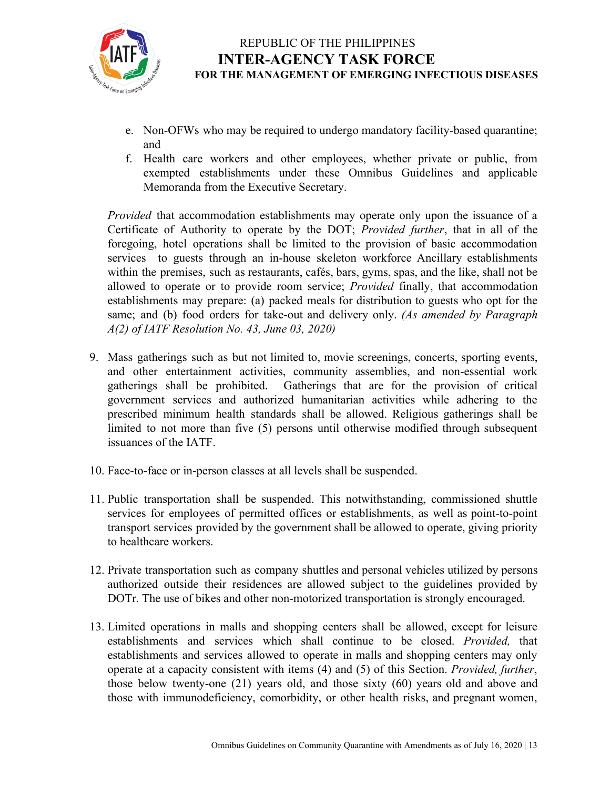

- e. Non-OFWs who may be required to undergo mandatory facility-based quarantine; and
- f. Health care workers and other employees, whether private or public, from exempted establishments under these Omnibus Guidelines and applicable Memoranda from the Executive Secretary.

*Provided* that accommodation establishments may operate only upon the issuance of a Certificate of Authority to operate by the DOT; *Provided further*, that in all of the foregoing, hotel operations shall be limited to the provision of basic accommodation services to guests through an in-house skeleton workforce Ancillary establishments within the premises, such as restaurants, cafés, bars, gyms, spas, and the like, shall not be allowed to operate or to provide room service; *Provided* finally, that accommodation establishments may prepare: (a) packed meals for distribution to guests who opt for the same; and (b) food orders for take-out and delivery only. *(As amended by Paragraph A(2) of IATF Resolution No. 43, June 03, 2020)*

- 9. Mass gatherings such as but not limited to, movie screenings, concerts, sporting events, and other entertainment activities, community assemblies, and non-essential work gatherings shall be prohibited. Gatherings that are for the provision of critical government services and authorized humanitarian activities while adhering to the prescribed minimum health standards shall be allowed. Religious gatherings shall be limited to not more than five (5) persons until otherwise modified through subsequent issuances of the IATF.
- 10. Face-to-face or in-person classes at all levels shall be suspended.
- 11. Public transportation shall be suspended. This notwithstanding, commissioned shuttle services for employees of permitted offices or establishments, as well as point-to-point transport services provided by the government shall be allowed to operate, giving priority to healthcare workers.
- 12. Private transportation such as company shuttles and personal vehicles utilized by persons authorized outside their residences are allowed subject to the guidelines provided by DOTr. The use of bikes and other non-motorized transportation is strongly encouraged.
- 13. Limited operations in malls and shopping centers shall be allowed, except for leisure establishments and services which shall continue to be closed. *Provided,* that establishments and services allowed to operate in malls and shopping centers may only operate at a capacity consistent with items (4) and (5) of this Section. *Provided, further*, those below twenty-one (21) years old, and those sixty (60) years old and above and those with immunodeficiency, comorbidity, or other health risks, and pregnant women,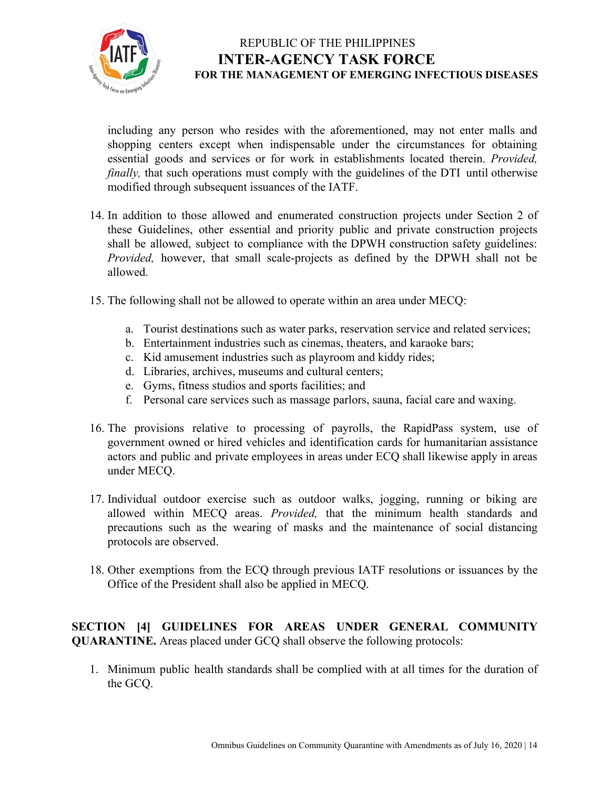

including any person who resides with the aforementioned, may not enter malls and shopping centers except when indispensable under the circumstances for obtaining essential goods and services or for work in establishments located therein. *Provided, finally*, that such operations must comply with the guidelines of the DTI until otherwise modified through subsequent issuances of the IATF.

- 14. In addition to those allowed and enumerated construction projects under Section 2 of these Guidelines, other essential and priority public and private construction projects shall be allowed, subject to compliance with the DPWH construction safety guidelines: *Provided,* however, that small scale-projects as defined by the DPWH shall not be allowed.
- 15. The following shall not be allowed to operate within an area under MECQ:
	- a. Tourist destinations such as water parks, reservation service and related services;
	- b. Entertainment industries such as cinemas, theaters, and karaoke bars;
	- c. Kid amusement industries such as playroom and kiddy rides;
	- d. Libraries, archives, museums and cultural centers;
	- e. Gyms, fitness studios and sports facilities; and
	- f. Personal care services such as massage parlors, sauna, facial care and waxing.
- 16. The provisions relative to processing of payrolls, the RapidPass system, use of government owned or hired vehicles and identification cards for humanitarian assistance actors and public and private employees in areas under ECQ shall likewise apply in areas under MECQ.
- 17. Individual outdoor exercise such as outdoor walks, jogging, running or biking are allowed within MECQ areas. *Provided,* that the minimum health standards and precautions such as the wearing of masks and the maintenance of social distancing protocols are observed.
- 18. Other exemptions from the ECQ through previous IATF resolutions or issuances by the Office of the President shall also be applied in MECQ.

**SECTION [4] GUIDELINES FOR AREAS UNDER GENERAL COMMUNITY QUARANTINE.** Areas placed under GCQ shall observe the following protocols:

1. Minimum public health standards shall be complied with at all times for the duration of the GCQ.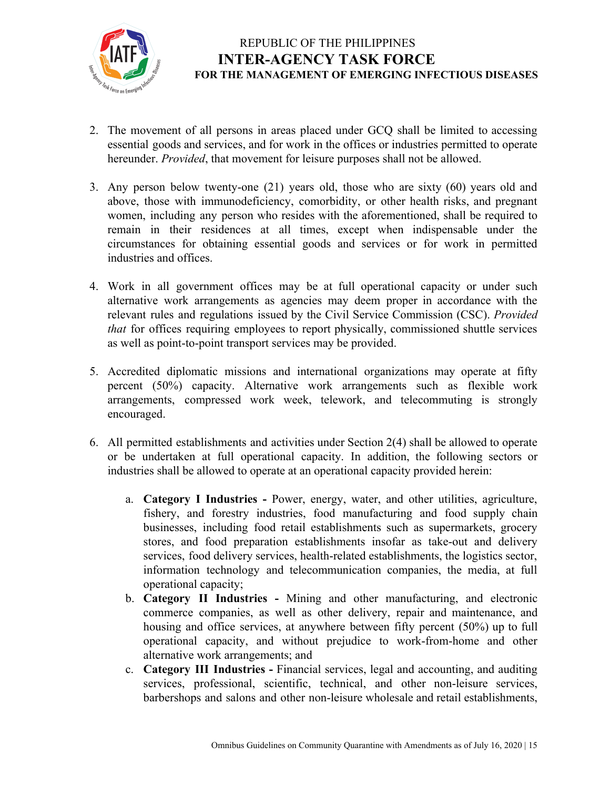

- 2. The movement of all persons in areas placed under GCQ shall be limited to accessing essential goods and services, and for work in the offices or industries permitted to operate hereunder. *Provided*, that movement for leisure purposes shall not be allowed.
- 3. Any person below twenty-one (21) years old, those who are sixty (60) years old and above, those with immunodeficiency, comorbidity, or other health risks, and pregnant women, including any person who resides with the aforementioned, shall be required to remain in their residences at all times, except when indispensable under the circumstances for obtaining essential goods and services or for work in permitted industries and offices.
- 4. Work in all government offices may be at full operational capacity or under such alternative work arrangements as agencies may deem proper in accordance with the relevant rules and regulations issued by the Civil Service Commission (CSC). *Provided that* for offices requiring employees to report physically, commissioned shuttle services as well as point-to-point transport services may be provided.
- 5. Accredited diplomatic missions and international organizations may operate at fifty percent (50%) capacity. Alternative work arrangements such as flexible work arrangements, compressed work week, telework, and telecommuting is strongly encouraged.
- 6. All permitted establishments and activities under Section 2(4) shall be allowed to operate or be undertaken at full operational capacity. In addition, the following sectors or industries shall be allowed to operate at an operational capacity provided herein:
	- a. **Category I Industries -** Power, energy, water, and other utilities, agriculture, fishery, and forestry industries, food manufacturing and food supply chain businesses, including food retail establishments such as supermarkets, grocery stores, and food preparation establishments insofar as take-out and delivery services, food delivery services, health-related establishments, the logistics sector, information technology and telecommunication companies, the media, at full operational capacity;
	- b. **Category II Industries -** Mining and other manufacturing, and electronic commerce companies, as well as other delivery, repair and maintenance, and housing and office services, at anywhere between fifty percent (50%) up to full operational capacity, and without prejudice to work-from-home and other alternative work arrangements; and
	- c. **Category III Industries -** Financial services, legal and accounting, and auditing services, professional, scientific, technical, and other non-leisure services, barbershops and salons and other non-leisure wholesale and retail establishments,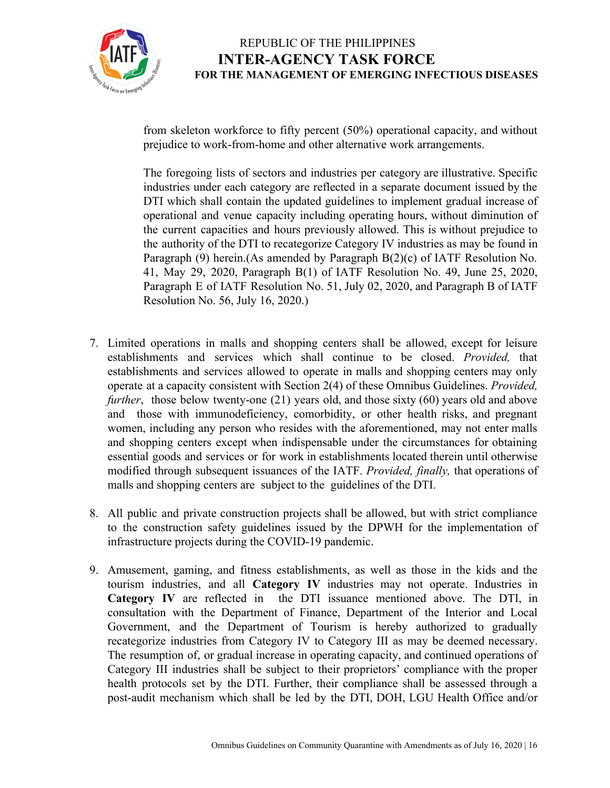

from skeleton workforce to fifty percent (50%) operational capacity, and without prejudice to work-from-home and other alternative work arrangements.

The foregoing lists of sectors and industries per category are illustrative. Specific industries under each category are reflected in a separate document issued by the DTI which shall contain the updated guidelines to implement gradual increase of operational and venue capacity including operating hours, without diminution of the current capacities and hours previously allowed. This is without prejudice to the authority of the DTI to recategorize Category IV industries as may be found in Paragraph (9) herein.(As amended by Paragraph B(2)(c) of IATF Resolution No. 41, May 29, 2020, Paragraph B(1) of IATF Resolution No. 49, June 25, 2020, Paragraph E of IATF Resolution No. 51, July 02, 2020, and Paragraph B of IATF Resolution No. 56, July 16, 2020.)

- 7. Limited operations in malls and shopping centers shall be allowed, except for leisure establishments and services which shall continue to be closed. *Provided,* that establishments and services allowed to operate in malls and shopping centers may only operate at a capacity consistent with Section 2(4) of these Omnibus Guidelines. *Provided, further*, those below twenty-one (21) years old, and those sixty (60) years old and above and those with immunodeficiency, comorbidity, or other health risks, and pregnant women, including any person who resides with the aforementioned, may not enter malls and shopping centers except when indispensable under the circumstances for obtaining essential goods and services or for work in establishments located therein until otherwise modified through subsequent issuances of the IATF. *Provided, finally,* that operations of malls and shopping centers are subject to the guidelines of the DTI.
- 8. All public and private construction projects shall be allowed, but with strict compliance to the construction safety guidelines issued by the DPWH for the implementation of infrastructure projects during the COVID-19 pandemic.
- 9. Amusement, gaming, and fitness establishments, as well as those in the kids and the tourism industries, and all **Category IV** industries may not operate. Industries in **Category IV** are reflected in the DTI issuance mentioned above. The DTI, in consultation with the Department of Finance, Department of the Interior and Local Government, and the Department of Tourism is hereby authorized to gradually recategorize industries from Category IV to Category III as may be deemed necessary. The resumption of, or gradual increase in operating capacity, and continued operations of Category III industries shall be subject to their proprietors' compliance with the proper health protocols set by the DTI. Further, their compliance shall be assessed through a post-audit mechanism which shall be led by the DTI, DOH, LGU Health Office and/or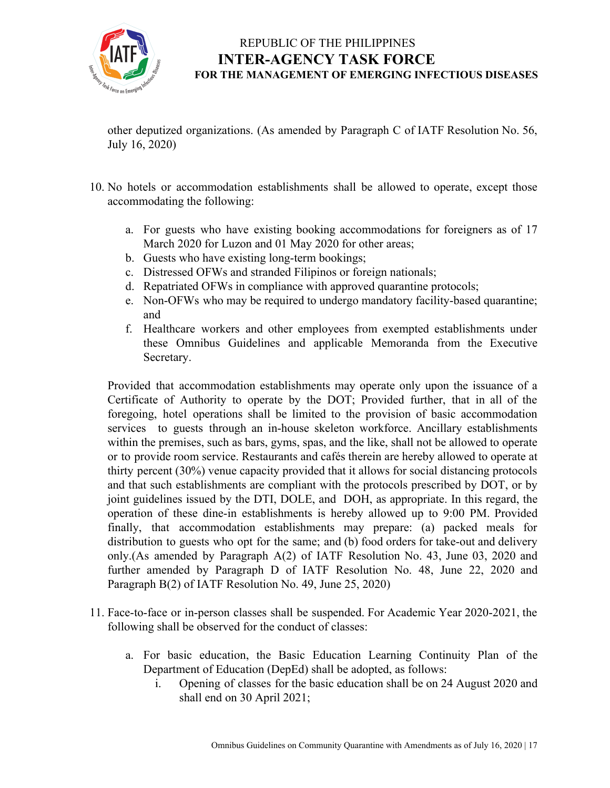

other deputized organizations. (As amended by Paragraph C of IATF Resolution No. 56, July 16, 2020)

- 10. No hotels or accommodation establishments shall be allowed to operate, except those accommodating the following:
	- a. For guests who have existing booking accommodations for foreigners as of 17 March 2020 for Luzon and 01 May 2020 for other areas;
	- b. Guests who have existing long-term bookings;
	- c. Distressed OFWs and stranded Filipinos or foreign nationals;
	- d. Repatriated OFWs in compliance with approved quarantine protocols;
	- e. Non-OFWs who may be required to undergo mandatory facility-based quarantine; and
	- f. Healthcare workers and other employees from exempted establishments under these Omnibus Guidelines and applicable Memoranda from the Executive Secretary.

Provided that accommodation establishments may operate only upon the issuance of a Certificate of Authority to operate by the DOT; Provided further, that in all of the foregoing, hotel operations shall be limited to the provision of basic accommodation services to guests through an in-house skeleton workforce. Ancillary establishments within the premises, such as bars, gyms, spas, and the like, shall not be allowed to operate or to provide room service. Restaurants and cafés therein are hereby allowed to operate at thirty percent (30%) venue capacity provided that it allows for social distancing protocols and that such establishments are compliant with the protocols prescribed by DOT, or by joint guidelines issued by the DTI, DOLE, and DOH, as appropriate. In this regard, the operation of these dine-in establishments is hereby allowed up to 9:00 PM. Provided finally, that accommodation establishments may prepare: (a) packed meals for distribution to guests who opt for the same; and (b) food orders for take-out and delivery only.(As amended by Paragraph A(2) of IATF Resolution No. 43, June 03, 2020 and further amended by Paragraph D of IATF Resolution No. 48, June 22, 2020 and Paragraph B(2) of IATF Resolution No. 49, June 25, 2020)

- 11. Face-to-face or in-person classes shall be suspended. For Academic Year 2020-2021, the following shall be observed for the conduct of classes:
	- a. For basic education, the Basic Education Learning Continuity Plan of the Department of Education (DepEd) shall be adopted, as follows:
		- i. Opening of classes for the basic education shall be on 24 August 2020 and shall end on 30 April 2021;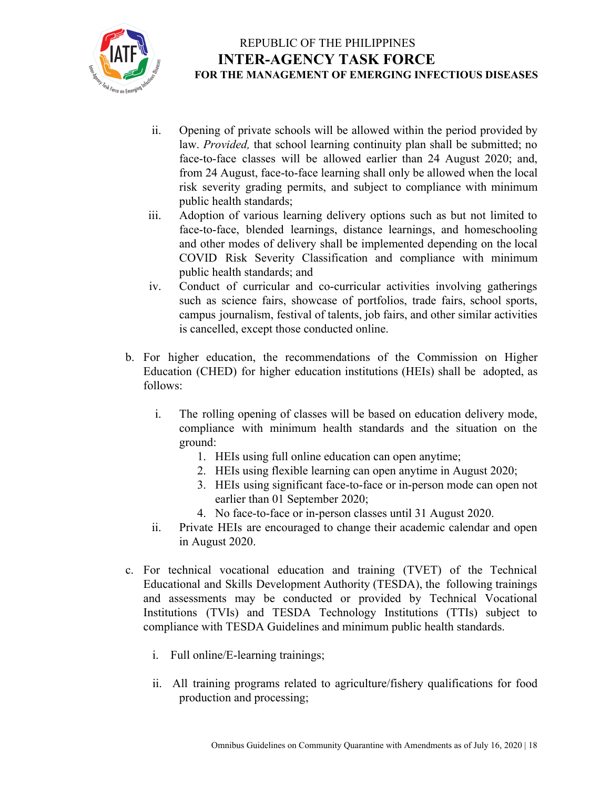

- ii. Opening of private schools will be allowed within the period provided by law. *Provided,* that school learning continuity plan shall be submitted; no face-to-face classes will be allowed earlier than 24 August 2020; and, from 24 August, face-to-face learning shall only be allowed when the local risk severity grading permits, and subject to compliance with minimum public health standards;
- iii. Adoption of various learning delivery options such as but not limited to face-to-face, blended learnings, distance learnings, and homeschooling and other modes of delivery shall be implemented depending on the local COVID Risk Severity Classification and compliance with minimum public health standards; and
- iv. Conduct of curricular and co-curricular activities involving gatherings such as science fairs, showcase of portfolios, trade fairs, school sports, campus journalism, festival of talents, job fairs, and other similar activities is cancelled, except those conducted online.
- b. For higher education, the recommendations of the Commission on Higher Education (CHED) for higher education institutions (HEIs) shall be adopted, as follows:
	- i. The rolling opening of classes will be based on education delivery mode, compliance with minimum health standards and the situation on the ground:
		- 1. HEIs using full online education can open anytime;
		- 2. HEIs using flexible learning can open anytime in August 2020;
		- 3. HEIs using significant face-to-face or in-person mode can open not earlier than 01 September 2020;
		- 4. No face-to-face or in-person classes until 31 August 2020.
	- ii. Private HEIs are encouraged to change their academic calendar and open in August 2020.
- c. For technical vocational education and training (TVET) of the Technical Educational and Skills Development Authority (TESDA), the following trainings and assessments may be conducted or provided by Technical Vocational Institutions (TVIs) and TESDA Technology Institutions (TTIs) subject to compliance with TESDA Guidelines and minimum public health standards.
	- i. Full online/E-learning trainings;
	- ii. All training programs related to agriculture/fishery qualifications for food production and processing;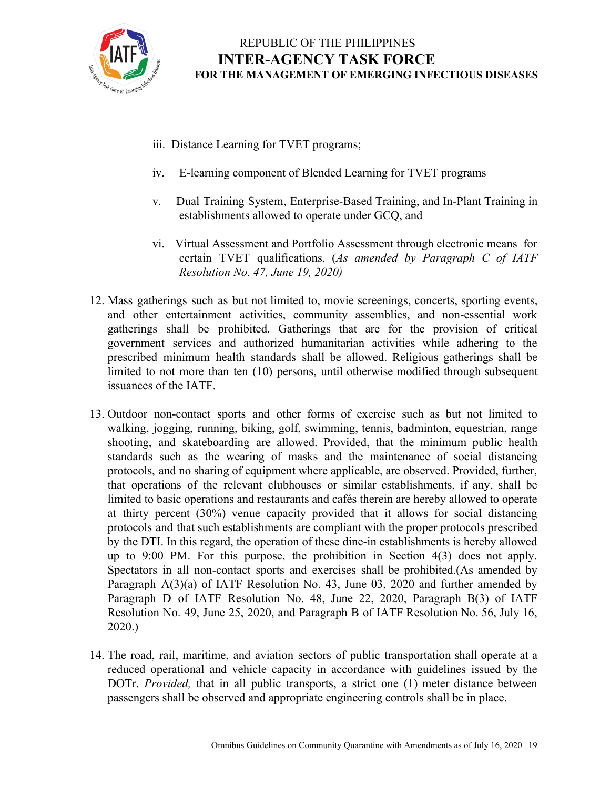

- iii. Distance Learning for TVET programs;
- iv. E-learning component of Blended Learning for TVET programs
- v. Dual Training System, Enterprise-Based Training, and In-Plant Training in establishments allowed to operate under GCQ, and
- vi. Virtual Assessment and Portfolio Assessment through electronic means for certain TVET qualifications. (*As amended by Paragraph C of IATF Resolution No. 47, June 19, 2020)*
- 12. Mass gatherings such as but not limited to, movie screenings, concerts, sporting events, and other entertainment activities, community assemblies, and non-essential work gatherings shall be prohibited. Gatherings that are for the provision of critical government services and authorized humanitarian activities while adhering to the prescribed minimum health standards shall be allowed. Religious gatherings shall be limited to not more than ten (10) persons, until otherwise modified through subsequent issuances of the IATF.
- 13. Outdoor non-contact sports and other forms of exercise such as but not limited to walking, jogging, running, biking, golf, swimming, tennis, badminton, equestrian, range shooting, and skateboarding are allowed. Provided, that the minimum public health standards such as the wearing of masks and the maintenance of social distancing protocols, and no sharing of equipment where applicable, are observed. Provided, further, that operations of the relevant clubhouses or similar establishments, if any, shall be limited to basic operations and restaurants and cafés therein are hereby allowed to operate at thirty percent (30%) venue capacity provided that it allows for social distancing protocols and that such establishments are compliant with the proper protocols prescribed by the DTI. In this regard, the operation of these dine-in establishments is hereby allowed up to 9:00 PM. For this purpose, the prohibition in Section 4(3) does not apply. Spectators in all non-contact sports and exercises shall be prohibited.(As amended by Paragraph A(3)(a) of IATF Resolution No. 43, June 03, 2020 and further amended by Paragraph D of IATF Resolution No. 48, June 22, 2020, Paragraph B(3) of IATF Resolution No. 49, June 25, 2020, and Paragraph B of IATF Resolution No. 56, July 16, 2020.)
- 14. The road, rail, maritime, and aviation sectors of public transportation shall operate at a reduced operational and vehicle capacity in accordance with guidelines issued by the DOTr. *Provided,* that in all public transports, a strict one (1) meter distance between passengers shall be observed and appropriate engineering controls shall be in place.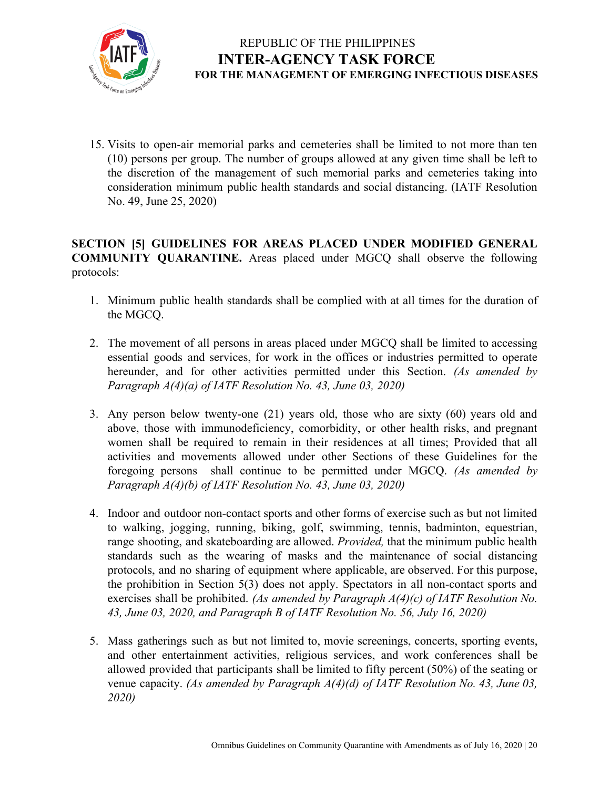

15. Visits to open-air memorial parks and cemeteries shall be limited to not more than ten (10) persons per group. The number of groups allowed at any given time shall be left to the discretion of the management of such memorial parks and cemeteries taking into consideration minimum public health standards and social distancing. (IATF Resolution No. 49, June 25, 2020)

#### **SECTION [5] GUIDELINES FOR AREAS PLACED UNDER MODIFIED GENERAL COMMUNITY QUARANTINE.** Areas placed under MGCQ shall observe the following protocols:

- 1. Minimum public health standards shall be complied with at all times for the duration of the MGCQ.
- 2. The movement of all persons in areas placed under MGCQ shall be limited to accessing essential goods and services, for work in the offices or industries permitted to operate hereunder, and for other activities permitted under this Section. *(As amended by Paragraph A(4)(a) of IATF Resolution No. 43, June 03, 2020)*
- 3. Any person below twenty-one (21) years old, those who are sixty (60) years old and above, those with immunodeficiency, comorbidity, or other health risks, and pregnant women shall be required to remain in their residences at all times; Provided that all activities and movements allowed under other Sections of these Guidelines for the foregoing persons shall continue to be permitted under MGCQ. *(As amended by Paragraph A(4)(b) of IATF Resolution No. 43, June 03, 2020)*
- 4. Indoor and outdoor non-contact sports and other forms of exercise such as but not limited to walking, jogging, running, biking, golf, swimming, tennis, badminton, equestrian, range shooting, and skateboarding are allowed. *Provided,* that the minimum public health standards such as the wearing of masks and the maintenance of social distancing protocols, and no sharing of equipment where applicable, are observed. For this purpose, the prohibition in Section 5(3) does not apply. Spectators in all non-contact sports and exercises shall be prohibited. *(As amended by Paragraph A(4)(c) of IATF Resolution No. 43, June 03, 2020, and Paragraph B of IATF Resolution No. 56, July 16, 2020)*
- 5. Mass gatherings such as but not limited to, movie screenings, concerts, sporting events, and other entertainment activities, religious services, and work conferences shall be allowed provided that participants shall be limited to fifty percent (50%) of the seating or venue capacity. *(As amended by Paragraph A(4)(d) of IATF Resolution No. 43, June 03, 2020)*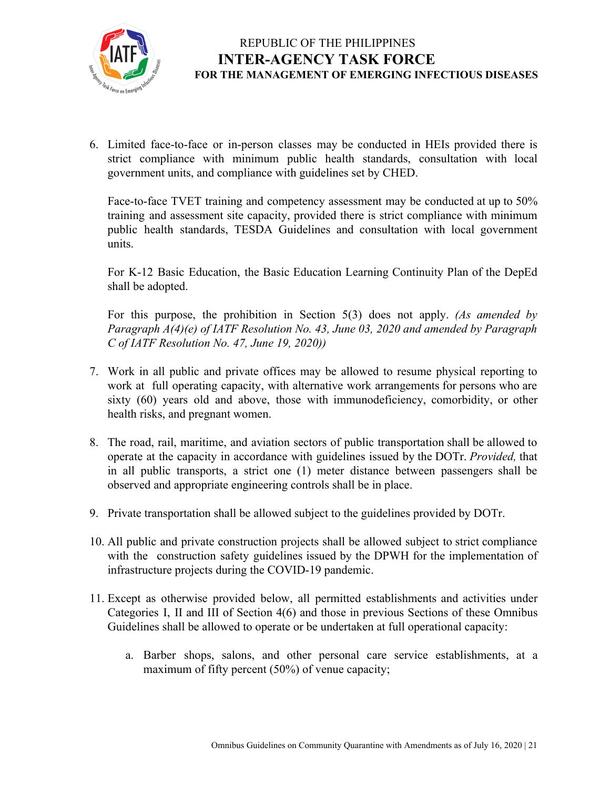

6. Limited face-to-face or in-person classes may be conducted in HEIs provided there is strict compliance with minimum public health standards, consultation with local government units, and compliance with guidelines set by CHED.

Face-to-face TVET training and competency assessment may be conducted at up to 50% training and assessment site capacity, provided there is strict compliance with minimum public health standards, TESDA Guidelines and consultation with local government units.

For K-12 Basic Education, the Basic Education Learning Continuity Plan of the DepEd shall be adopted.

For this purpose, the prohibition in Section 5(3) does not apply. *(As amended by Paragraph A(4)(e) of IATF Resolution No. 43, June 03, 2020 and amended by Paragraph C of IATF Resolution No. 47, June 19, 2020))*

- 7. Work in all public and private offices may be allowed to resume physical reporting to work at full operating capacity, with alternative work arrangements for persons who are sixty (60) years old and above, those with immunodeficiency, comorbidity, or other health risks, and pregnant women.
- 8. The road, rail, maritime, and aviation sectors of public transportation shall be allowed to operate at the capacity in accordance with guidelines issued by the DOTr. *Provided,* that in all public transports, a strict one (1) meter distance between passengers shall be observed and appropriate engineering controls shall be in place.
- 9. Private transportation shall be allowed subject to the guidelines provided by DOTr.
- 10. All public and private construction projects shall be allowed subject to strict compliance with the construction safety guidelines issued by the DPWH for the implementation of infrastructure projects during the COVID-19 pandemic.
- 11. Except as otherwise provided below, all permitted establishments and activities under Categories I, II and III of Section 4(6) and those in previous Sections of these Omnibus Guidelines shall be allowed to operate or be undertaken at full operational capacity:
	- a. Barber shops, salons, and other personal care service establishments, at a maximum of fifty percent (50%) of venue capacity;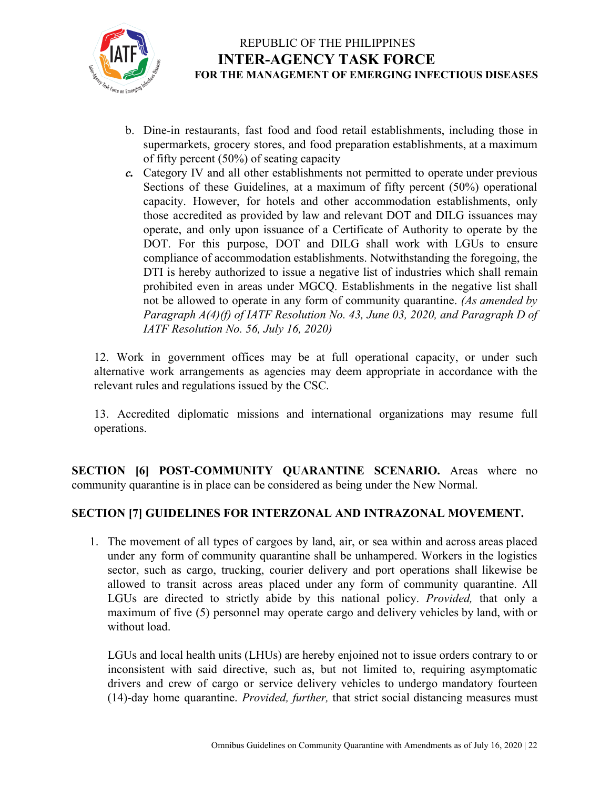

- b. Dine-in restaurants, fast food and food retail establishments, including those in supermarkets, grocery stores, and food preparation establishments, at a maximum of fifty percent (50%) of seating capacity
- *c.* Category IV and all other establishments not permitted to operate under previous Sections of these Guidelines, at a maximum of fifty percent (50%) operational capacity. However, for hotels and other accommodation establishments, only those accredited as provided by law and relevant DOT and DILG issuances may operate, and only upon issuance of a Certificate of Authority to operate by the DOT. For this purpose, DOT and DILG shall work with LGUs to ensure compliance of accommodation establishments. Notwithstanding the foregoing, the DTI is hereby authorized to issue a negative list of industries which shall remain prohibited even in areas under MGCQ. Establishments in the negative list shall not be allowed to operate in any form of community quarantine. *(As amended by Paragraph A(4)(f) of IATF Resolution No. 43, June 03, 2020, and Paragraph D of IATF Resolution No. 56, July 16, 2020)*

12. Work in government offices may be at full operational capacity, or under such alternative work arrangements as agencies may deem appropriate in accordance with the relevant rules and regulations issued by the CSC.

13. Accredited diplomatic missions and international organizations may resume full operations.

**SECTION [6] POST-COMMUNITY QUARANTINE SCENARIO.** Areas where no community quarantine is in place can be considered as being under the New Normal.

#### **SECTION [7] GUIDELINES FOR INTERZONAL AND INTRAZONAL MOVEMENT.**

1. The movement of all types of cargoes by land, air, or sea within and across areas placed under any form of community quarantine shall be unhampered. Workers in the logistics sector, such as cargo, trucking, courier delivery and port operations shall likewise be allowed to transit across areas placed under any form of community quarantine. All LGUs are directed to strictly abide by this national policy. *Provided,* that only a maximum of five (5) personnel may operate cargo and delivery vehicles by land, with or without load.

LGUs and local health units (LHUs) are hereby enjoined not to issue orders contrary to or inconsistent with said directive, such as, but not limited to, requiring asymptomatic drivers and crew of cargo or service delivery vehicles to undergo mandatory fourteen (14)-day home quarantine. *Provided, further,* that strict social distancing measures must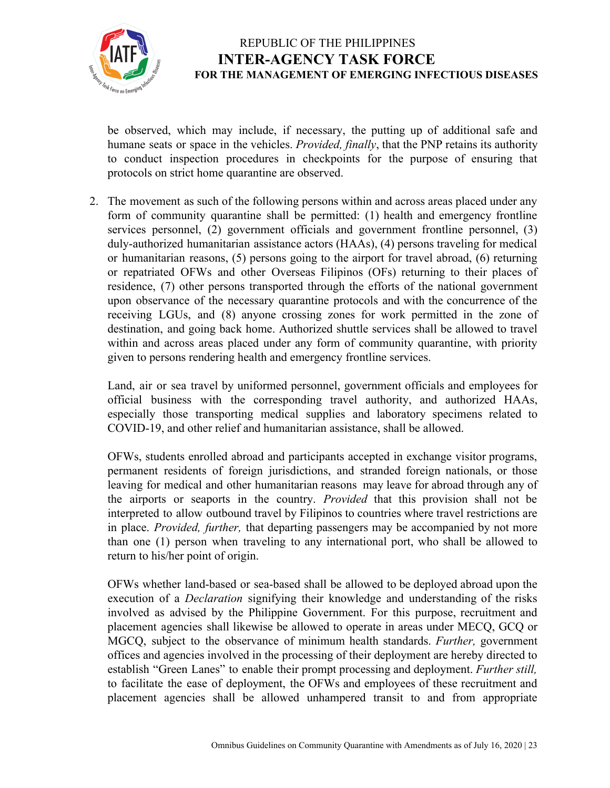

be observed, which may include, if necessary, the putting up of additional safe and humane seats or space in the vehicles. *Provided, finally*, that the PNP retains its authority to conduct inspection procedures in checkpoints for the purpose of ensuring that protocols on strict home quarantine are observed.

2. The movement as such of the following persons within and across areas placed under any form of community quarantine shall be permitted: (1) health and emergency frontline services personnel, (2) government officials and government frontline personnel, (3) duly-authorized humanitarian assistance actors (HAAs), (4) persons traveling for medical or humanitarian reasons, (5) persons going to the airport for travel abroad, (6) returning or repatriated OFWs and other Overseas Filipinos (OFs) returning to their places of residence, (7) other persons transported through the efforts of the national government upon observance of the necessary quarantine protocols and with the concurrence of the receiving LGUs, and (8) anyone crossing zones for work permitted in the zone of destination, and going back home. Authorized shuttle services shall be allowed to travel within and across areas placed under any form of community quarantine, with priority given to persons rendering health and emergency frontline services.

Land, air or sea travel by uniformed personnel, government officials and employees for official business with the corresponding travel authority, and authorized HAAs, especially those transporting medical supplies and laboratory specimens related to COVID-19, and other relief and humanitarian assistance, shall be allowed.

OFWs, students enrolled abroad and participants accepted in exchange visitor programs, permanent residents of foreign jurisdictions, and stranded foreign nationals, or those leaving for medical and other humanitarian reasons may leave for abroad through any of the airports or seaports in the country. *Provided* that this provision shall not be interpreted to allow outbound travel by Filipinos to countries where travel restrictions are in place. *Provided, further,* that departing passengers may be accompanied by not more than one (1) person when traveling to any international port, who shall be allowed to return to his/her point of origin.

OFWs whether land-based or sea-based shall be allowed to be deployed abroad upon the execution of a *Declaration* signifying their knowledge and understanding of the risks involved as advised by the Philippine Government. For this purpose, recruitment and placement agencies shall likewise be allowed to operate in areas under MECQ, GCQ or MGCQ, subject to the observance of minimum health standards. *Further,* government offices and agencies involved in the processing of their deployment are hereby directed to establish "Green Lanes" to enable their prompt processing and deployment. *Further still,* to facilitate the ease of deployment, the OFWs and employees of these recruitment and placement agencies shall be allowed unhampered transit to and from appropriate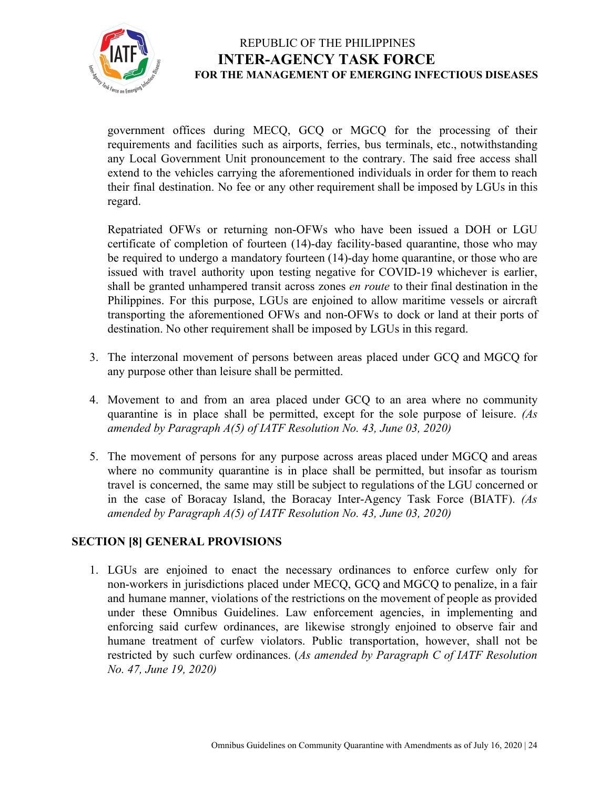

government offices during MECQ, GCQ or MGCQ for the processing of their requirements and facilities such as airports, ferries, bus terminals, etc., notwithstanding any Local Government Unit pronouncement to the contrary. The said free access shall extend to the vehicles carrying the aforementioned individuals in order for them to reach their final destination. No fee or any other requirement shall be imposed by LGUs in this regard.

Repatriated OFWs or returning non-OFWs who have been issued a DOH or LGU certificate of completion of fourteen (14)-day facility-based quarantine, those who may be required to undergo a mandatory fourteen (14)-day home quarantine, or those who are issued with travel authority upon testing negative for COVID-19 whichever is earlier, shall be granted unhampered transit across zones *en route* to their final destination in the Philippines. For this purpose, LGUs are enjoined to allow maritime vessels or aircraft transporting the aforementioned OFWs and non-OFWs to dock or land at their ports of destination. No other requirement shall be imposed by LGUs in this regard.

- 3. The interzonal movement of persons between areas placed under GCQ and MGCQ for any purpose other than leisure shall be permitted.
- 4. Movement to and from an area placed under GCQ to an area where no community quarantine is in place shall be permitted, except for the sole purpose of leisure. *(As amended by Paragraph A(5) of IATF Resolution No. 43, June 03, 2020)*
- 5. The movement of persons for any purpose across areas placed under MGCQ and areas where no community quarantine is in place shall be permitted, but insofar as tourism travel is concerned, the same may still be subject to regulations of the LGU concerned or in the case of Boracay Island, the Boracay Inter-Agency Task Force (BIATF). *(As amended by Paragraph A(5) of IATF Resolution No. 43, June 03, 2020)*

#### **SECTION [8] GENERAL PROVISIONS**

1. LGUs are enjoined to enact the necessary ordinances to enforce curfew only for non-workers in jurisdictions placed under MECQ, GCQ and MGCQ to penalize, in a fair and humane manner, violations of the restrictions on the movement of people as provided under these Omnibus Guidelines. Law enforcement agencies, in implementing and enforcing said curfew ordinances, are likewise strongly enjoined to observe fair and humane treatment of curfew violators. Public transportation, however, shall not be restricted by such curfew ordinances. (*As amended by Paragraph C of IATF Resolution No. 47, June 19, 2020)*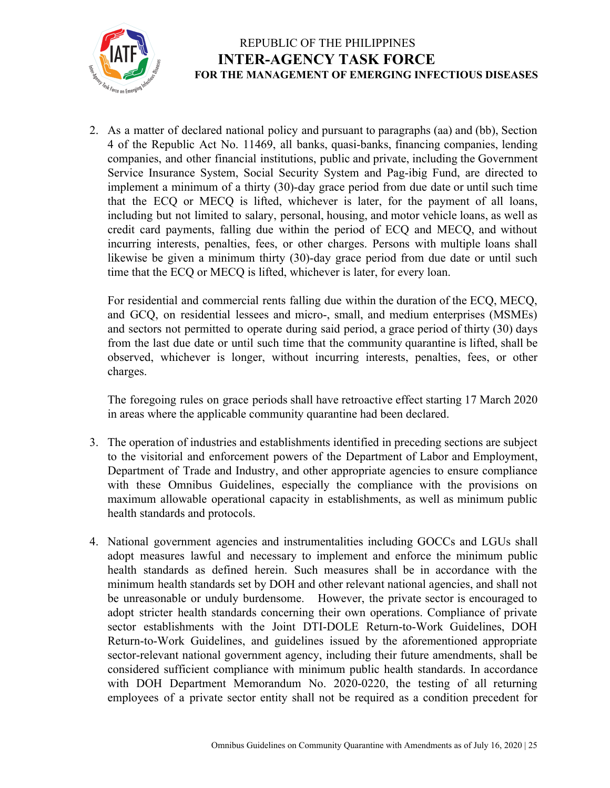

2. As a matter of declared national policy and pursuant to paragraphs (aa) and (bb), Section 4 of the Republic Act No. 11469, all banks, quasi-banks, financing companies, lending companies, and other financial institutions, public and private, including the Government Service Insurance System, Social Security System and Pag-ibig Fund, are directed to implement a minimum of a thirty (30)-day grace period from due date or until such time that the ECQ or MECQ is lifted, whichever is later, for the payment of all loans, including but not limited to salary, personal, housing, and motor vehicle loans, as well as credit card payments, falling due within the period of ECQ and MECQ, and without incurring interests, penalties, fees, or other charges. Persons with multiple loans shall likewise be given a minimum thirty (30)-day grace period from due date or until such time that the ECQ or MECQ is lifted, whichever is later, for every loan.

For residential and commercial rents falling due within the duration of the ECQ, MECQ, and GCQ, on residential lessees and micro-, small, and medium enterprises (MSMEs) and sectors not permitted to operate during said period, a grace period of thirty (30) days from the last due date or until such time that the community quarantine is lifted, shall be observed, whichever is longer, without incurring interests, penalties, fees, or other charges.

The foregoing rules on grace periods shall have retroactive effect starting 17 March 2020 in areas where the applicable community quarantine had been declared.

- 3. The operation of industries and establishments identified in preceding sections are subject to the visitorial and enforcement powers of the Department of Labor and Employment, Department of Trade and Industry, and other appropriate agencies to ensure compliance with these Omnibus Guidelines, especially the compliance with the provisions on maximum allowable operational capacity in establishments, as well as minimum public health standards and protocols.
- 4. National government agencies and instrumentalities including GOCCs and LGUs shall adopt measures lawful and necessary to implement and enforce the minimum public health standards as defined herein. Such measures shall be in accordance with the minimum health standards set by DOH and other relevant national agencies, and shall not be unreasonable or unduly burdensome. However, the private sector is encouraged to adopt stricter health standards concerning their own operations. Compliance of private sector establishments with the Joint DTI-DOLE Return-to-Work Guidelines, DOH Return-to-Work Guidelines, and guidelines issued by the aforementioned appropriate sector-relevant national government agency, including their future amendments, shall be considered sufficient compliance with minimum public health standards. In accordance with DOH Department Memorandum No. 2020-0220, the testing of all returning employees of a private sector entity shall not be required as a condition precedent for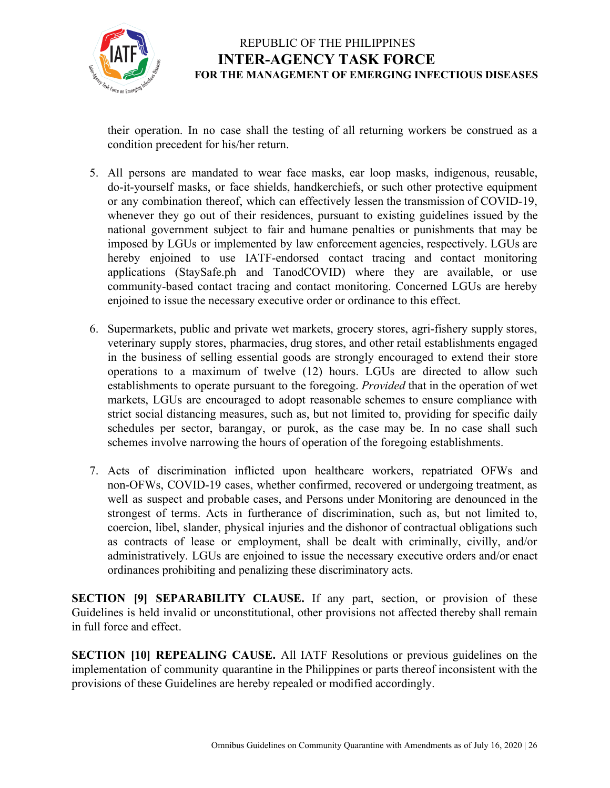

their operation. In no case shall the testing of all returning workers be construed as a condition precedent for his/her return.

- 5. All persons are mandated to wear face masks, ear loop masks, indigenous, reusable, do-it-yourself masks, or face shields, handkerchiefs, or such other protective equipment or any combination thereof, which can effectively lessen the transmission of COVID-19, whenever they go out of their residences, pursuant to existing guidelines issued by the national government subject to fair and humane penalties or punishments that may be imposed by LGUs or implemented by law enforcement agencies, respectively. LGUs are hereby enjoined to use IATF-endorsed contact tracing and contact monitoring applications (StaySafe.ph and TanodCOVID) where they are available, or use community-based contact tracing and contact monitoring. Concerned LGUs are hereby enjoined to issue the necessary executive order or ordinance to this effect.
- 6. Supermarkets, public and private wet markets, grocery stores, agri-fishery supply stores, veterinary supply stores, pharmacies, drug stores, and other retail establishments engaged in the business of selling essential goods are strongly encouraged to extend their store operations to a maximum of twelve (12) hours. LGUs are directed to allow such establishments to operate pursuant to the foregoing. *Provided* that in the operation of wet markets, LGUs are encouraged to adopt reasonable schemes to ensure compliance with strict social distancing measures, such as, but not limited to, providing for specific daily schedules per sector, barangay, or purok, as the case may be. In no case shall such schemes involve narrowing the hours of operation of the foregoing establishments.
- 7. Acts of discrimination inflicted upon healthcare workers, repatriated OFWs and non-OFWs, COVID-19 cases, whether confirmed, recovered or undergoing treatment, as well as suspect and probable cases, and Persons under Monitoring are denounced in the strongest of terms. Acts in furtherance of discrimination, such as, but not limited to, coercion, libel, slander, physical injuries and the dishonor of contractual obligations such as contracts of lease or employment, shall be dealt with criminally, civilly, and/or administratively. LGUs are enjoined to issue the necessary executive orders and/or enact ordinances prohibiting and penalizing these discriminatory acts.

**SECTION [9] SEPARABILITY CLAUSE.** If any part, section, or provision of these Guidelines is held invalid or unconstitutional, other provisions not affected thereby shall remain in full force and effect.

**SECTION [10] REPEALING CAUSE.** All IATF Resolutions or previous guidelines on the implementation of community quarantine in the Philippines or parts thereof inconsistent with the provisions of these Guidelines are hereby repealed or modified accordingly.